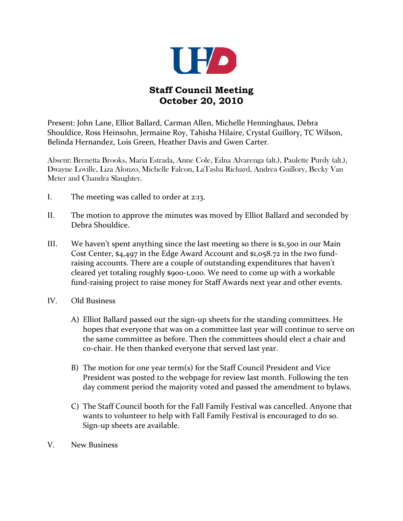

## **Staff Council Meeting October 20, 2010**

Present: John Lane, Elliot Ballard, Carman Allen, Michelle Henninghaus, Debra Shouldice, Ross Heinsohn, Jermaine Roy, Tahisha Hilaire, Crystal Guillory, TC Wilson, Belinda Hernandez, Lois Green, Heather Davis and Gwen Carter.

Absent: Brenetta Brooks, Maria Estrada, Anne Cole, Edna Alvarenga (alt.), Paulette Purdy (alt.), Dwayne Loville, Liza Alonzo, Michelle Falcon, LaTasha Richard, Andrea Guillory, Becky Van Meter and Chandra Slaughter.

- I. The meeting was called to order at 2:13.
- II. The motion to approve the minutes was moved by Elliot Ballard and seconded by Debra Shouldice.
- III. We haven't spent anything since the last meeting so there is \$1,500 in our Main Cost Center, \$4,497 in the Edge Award Account and \$1,058.72 in the two fundraising accounts. There are a couple of outstanding expenditures that haven't cleared yet totaling roughly \$900-1,000. We need to come up with a workable fund-raising project to raise money for Staff Awards next year and other events.
- IV. Old Business
	- A) Elliot Ballard passed out the sign-up sheets for the standing committees. He hopes that everyone that was on a committee last year will continue to serve on the same committee as before. Then the committees should elect a chair and co-chair. He then thanked everyone that served last year.
	- B) The motion for one year term(s) for the Staff Council President and Vice President was posted to the webpage for review last month. Following the ten day comment period the majority voted and passed the amendment to bylaws.
	- C) The Staff Council booth for the Fall Family Festival was cancelled. Anyone that wants to volunteer to help with Fall Family Festival is encouraged to do so. Sign-up sheets are available.
- V. New Business